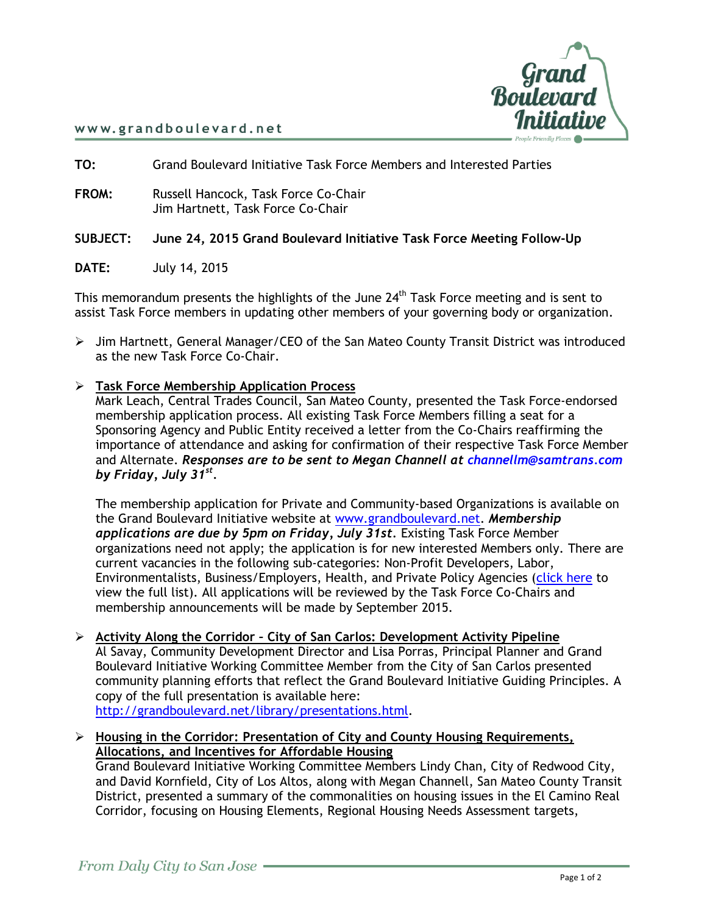

#### www.grandboulevard.net

**TO:** Grand Boulevard Initiative Task Force Members and Interested Parties

**FROM:** Russell Hancock, Task Force Co-Chair Jim Hartnett, Task Force Co-Chair

### **SUBJECT: June 24, 2015 Grand Boulevard Initiative Task Force Meeting Follow-Up**

**DATE:** July 14, 2015

This memorandum presents the highlights of the June  $24<sup>th</sup>$  Task Force meeting and is sent to assist Task Force members in updating other members of your governing body or organization.

 $\triangleright$  Jim Hartnett, General Manager/CEO of the San Mateo County Transit District was introduced as the new Task Force Co-Chair.

### **Task Force Membership Application Process**

Mark Leach, Central Trades Council, San Mateo County, presented the Task Force-endorsed membership application process. All existing Task Force Members filling a seat for a Sponsoring Agency and Public Entity received a letter from the Co-Chairs reaffirming the importance of attendance and asking for confirmation of their respective Task Force Member and Alternate. *Responses are to be sent to Megan Channell at [channellm@samtrans.com](mailto:channellm@samtrans.com) by Friday, July 31st .*

The membership application for Private and Community-based Organizations is available on the Grand Boulevard Initiative website at [www.grandboulevard.net.](http://www.grandboulevard.net/) *Membership applications are due by 5pm on Friday, July 31st.* Existing Task Force Member organizations need not apply; the application is for new interested Members only. There are current vacancies in the following sub-categories: Non-Profit Developers, Labor, Environmentalists, Business/Employers, Health, and Private Policy Agencies [\(click here](https://drive.google.com/file/d/0B57pfKc-VD_-Rm1YRUZZWWJJUU0/view) to view the full list). All applications will be reviewed by the Task Force Co-Chairs and membership announcements will be made by September 2015.

 **Activity Along the Corridor – City of San Carlos: Development Activity Pipeline** Al Savay, Community Development Director and Lisa Porras, Principal Planner and Grand Boulevard Initiative Working Committee Member from the City of San Carlos presented community planning efforts that reflect the Grand Boulevard Initiative Guiding Principles. A copy of the full presentation is available here: [http://grandboulevard.net/library/presentations.html.](http://grandboulevard.net/library/presentations.html)

## **Housing in the Corridor: Presentation of City and County Housing Requirements, Allocations, and Incentives for Affordable Housing**

Grand Boulevard Initiative Working Committee Members Lindy Chan, City of Redwood City, and David Kornfield, City of Los Altos, along with Megan Channell, San Mateo County Transit District, presented a summary of the commonalities on housing issues in the El Camino Real Corridor, focusing on Housing Elements, Regional Housing Needs Assessment targets,